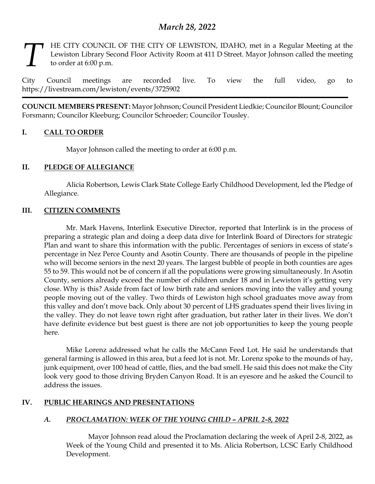# *March 28, 2022*

### HE CITY COUNCIL OF THE CITY OF LEWISTON, IDAHO, met in a Regular Meeting at the Lewiston Library Second Floor Activity Room at 411 D Street. Mayor Johnson called the meeting to order at 6:00 p.m. *T*

City Council meetings are recorded live. To view the full video, go to https://livestream.com/lewiston/events/3725902

**COUNCIL MEMBERS PRESENT:** Mayor Johnson; Council President Liedkie; Councilor Blount; Councilor Forsmann; Councilor Kleeburg; Councilor Schroeder; Councilor Tousley.

### **I. CALL TO ORDER**

Mayor Johnson called the meeting to order at 6:00 p.m.

### **II. PLEDGE OF ALLEGIANCE**

Alicia Robertson, Lewis Clark State College Early Childhood Development, led the Pledge of Allegiance.

### **III. CITIZEN COMMENTS**

Mr. Mark Havens, Interlink Executive Director, reported that Interlink is in the process of preparing a strategic plan and doing a deep data dive for Interlink Board of Directors for strategic Plan and want to share this information with the public. Percentages of seniors in excess of state's percentage in Nez Perce County and Asotin County. There are thousands of people in the pipeline who will become seniors in the next 20 years. The largest bubble of people in both counties are ages 55 to 59. This would not be of concern if all the populations were growing simultaneously. In Asotin County, seniors already exceed the number of children under 18 and in Lewiston it's getting very close. Why is this? Aside from fact of low birth rate and seniors moving into the valley and young people moving out of the valley. Two thirds of Lewiston high school graduates move away from this valley and don't move back. Only about 30 percent of LHS graduates spend their lives living in the valley. They do not leave town right after graduation, but rather later in their lives. We don't have definite evidence but best guest is there are not job opportunities to keep the young people here.

Mike Lorenz addressed what he calls the McCann Feed Lot. He said he understands that general farming is allowed in this area, but a feed lot is not. Mr. Lorenz spoke to the mounds of hay, junk equipment, over 100 head of cattle, flies, and the bad smell. He said this does not make the City look very good to those driving Bryden Canyon Road. It is an eyesore and he asked the Council to address the issues.

# **IV. PUBLIC HEARINGS AND PRESENTATIONS**

# *A. PROCLAMATION: WEEK OF THE YOUNG CHILD – APRIL 2-8, 2022*

Mayor Johnson read aloud the Proclamation declaring the week of April 2-8, 2022, as Week of the Young Child and presented it to Ms. Alicia Robertson, LCSC Early Childhood Development.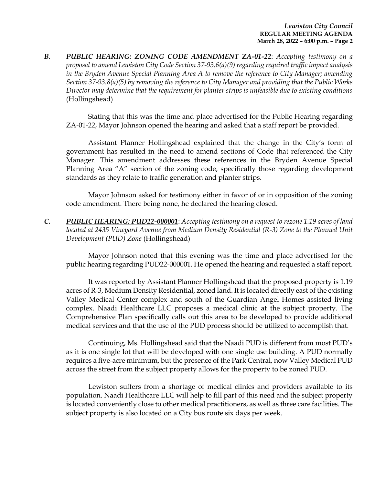*B. PUBLIC HEARING: ZONING CODE AMENDMENT ZA-01-22*: *Accepting testimony on a proposal to amend Lewiston City Code Section 37-93.6(a)(9) regarding required traffic impact analysis in the Bryden Avenue Special Planning Area A to remove the reference to City Manager; amending Section 37-93.8(a)(5) by removing the reference to City Manager and providing that the Public Works Director may determine that the requirement for planter strips is unfeasible due to existing conditions*  (Hollingshead)

Stating that this was the time and place advertised for the Public Hearing regarding ZA-01-22, Mayor Johnson opened the hearing and asked that a staff report be provided.

Assistant Planner Hollingshead explained that the change in the City's form of government has resulted in the need to amend sections of Code that referenced the City Manager. This amendment addresses these references in the Bryden Avenue Special Planning Area "A" section of the zoning code, specifically those regarding development standards as they relate to traffic generation and planter strips.

Mayor Johnson asked for testimony either in favor of or in opposition of the zoning code amendment. There being none, he declared the hearing closed.

*C. PUBLIC HEARING: PUD22-000001*: *Accepting testimony on a request to rezone 1.19 acres of land located at 2435 Vineyard Avenue from Medium Density Residential (R-3) Zone to the Planned Unit Development (PUD) Zone* (Hollingshead)

Mayor Johnson noted that this evening was the time and place advertised for the public hearing regarding PUD22-000001. He opened the hearing and requested a staff report.

It was reported by Assistant Planner Hollingshead that the proposed property is 1.19 acres of R-3, Medium Density Residential, zoned land. It is located directly east of the existing Valley Medical Center complex and south of the Guardian Angel Homes assisted living complex. Naadi Healthcare LLC proposes a medical clinic at the subject property. The Comprehensive Plan specifically calls out this area to be developed to provide additional medical services and that the use of the PUD process should be utilized to accomplish that.

Continuing, Ms. Hollingshead said that the Naadi PUD is different from most PUD's as it is one single lot that will be developed with one single use building. A PUD normally requires a five-acre minimum, but the presence of the Park Central, now Valley Medical PUD across the street from the subject property allows for the property to be zoned PUD.

Lewiston suffers from a shortage of medical clinics and providers available to its population. Naadi Healthcare LLC will help to fill part of this need and the subject property is located conveniently close to other medical practitioners, as well as three care facilities. The subject property is also located on a City bus route six days per week.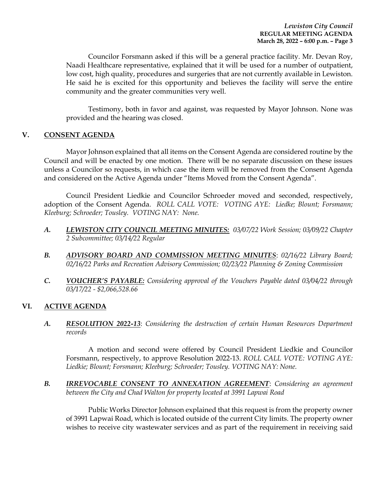Councilor Forsmann asked if this will be a general practice facility. Mr. Devan Roy, Naadi Healthcare representative, explained that it will be used for a number of outpatient, low cost, high quality, procedures and surgeries that are not currently available in Lewiston. He said he is excited for this opportunity and believes the facility will serve the entire community and the greater communities very well.

Testimony, both in favor and against, was requested by Mayor Johnson. None was provided and the hearing was closed.

### **V. CONSENT AGENDA**

Mayor Johnson explained that all items on the Consent Agenda are considered routine by the Council and will be enacted by one motion. There will be no separate discussion on these issues unless a Councilor so requests, in which case the item will be removed from the Consent Agenda and considered on the Active Agenda under "Items Moved from the Consent Agenda".

Council President Liedkie and Councilor Schroeder moved and seconded, respectively, adoption of the Consent Agenda. *ROLL CALL VOTE: VOTING AYE: Liedke; Blount; Forsmann; Kleeburg; Schroeder; Tousley. VOTING NAY: None.* 

- *A. LEWISTON CITY COUNCIL MEETING MINUTES: 03/07/22 Work Session; 03/09/22 Chapter 2 Subcommittee; 03/14/22 Regular*
- *B. ADVISORY BOARD AND COMMISSION MEETING MINUTES*: *02/16/22 Library Board; 02/16/22 Parks and Recreation Advisory Commission; 02/23/22 Planning & Zoning Commission*
- *C. VOUCHER'S PAYABLE: Considering approval of the Vouchers Payable dated 03/04/22 through 03/17/22 - \$2,066,528.66*

# **VI. ACTIVE AGENDA**

*A. RESOLUTION 2022-13*: *Considering the destruction of certain Human Resources Department records*

A motion and second were offered by Council President Liedkie and Councilor Forsmann, respectively, to approve Resolution 2022-13. *ROLL CALL VOTE: VOTING AYE: Liedkie; Blount; Forsmann; Kleeburg; Schroeder; Tousley. VOTING NAY: None.* 

*B. IRREVOCABLE CONSENT TO ANNEXATION AGREEMENT*: *Considering an agreement between the City and Chad Walton for property located at 3991 Lapwai Road* 

Public Works Director Johnson explained that this request is from the property owner of 3991 Lapwai Road, which is located outside of the current City limits. The property owner wishes to receive city wastewater services and as part of the requirement in receiving said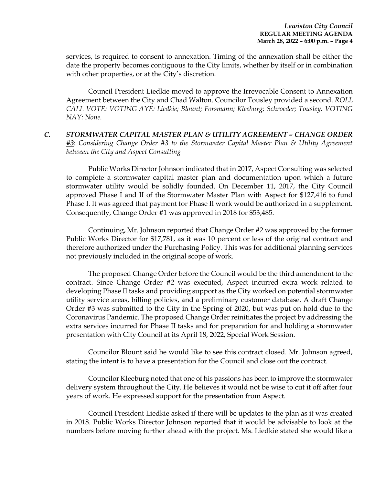services, is required to consent to annexation. Timing of the annexation shall be either the date the property becomes contiguous to the City limits, whether by itself or in combination with other properties, or at the City's discretion.

Council President Liedkie moved to approve the Irrevocable Consent to Annexation Agreement between the City and Chad Walton. Councilor Tousley provided a second. *ROLL CALL VOTE: VOTING AYE: Liedkie; Blount; Forsmann; Kleeburg; Schroeder; Tousley. VOTING NAY: None.*

### *C. STORMWATER CAPITAL MASTER PLAN & UTILITY AGREEMENT – CHANGE ORDER #3*: *Considering Change Order #3 to the Stormwater Capital Master Plan & Utility Agreement between the City and Aspect Consulting*

Public Works Director Johnson indicated that in 2017, Aspect Consulting was selected to complete a stormwater capital master plan and documentation upon which a future stormwater utility would be solidly founded. On December 11, 2017, the City Council approved Phase I and II of the Stormwater Master Plan with Aspect for \$127,416 to fund Phase I. It was agreed that payment for Phase II work would be authorized in a supplement. Consequently, Change Order #1 was approved in 2018 for \$53,485.

Continuing, Mr. Johnson reported that Change Order #2 was approved by the former Public Works Director for \$17,781, as it was 10 percent or less of the original contract and therefore authorized under the Purchasing Policy. This was for additional planning services not previously included in the original scope of work.

The proposed Change Order before the Council would be the third amendment to the contract. Since Change Order #2 was executed, Aspect incurred extra work related to developing Phase II tasks and providing support as the City worked on potential stormwater utility service areas, billing policies, and a preliminary customer database. A draft Change Order #3 was submitted to the City in the Spring of 2020, but was put on hold due to the Coronavirus Pandemic. The proposed Change Order reinitiates the project by addressing the extra services incurred for Phase II tasks and for preparation for and holding a stormwater presentation with City Council at its April 18, 2022, Special Work Session.

Councilor Blount said he would like to see this contract closed. Mr. Johnson agreed, stating the intent is to have a presentation for the Council and close out the contract.

Councilor Kleeburg noted that one of his passions has been to improve the stormwater delivery system throughout the City. He believes it would not be wise to cut it off after four years of work. He expressed support for the presentation from Aspect.

Council President Liedkie asked if there will be updates to the plan as it was created in 2018. Public Works Director Johnson reported that it would be advisable to look at the numbers before moving further ahead with the project. Ms. Liedkie stated she would like a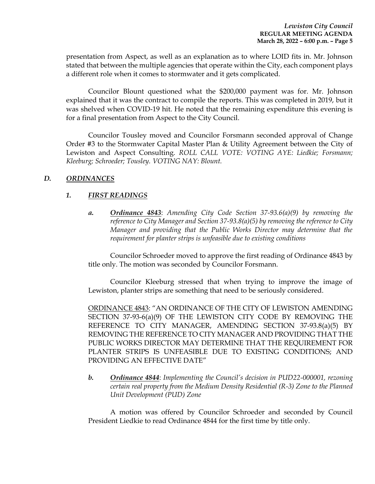presentation from Aspect, as well as an explanation as to where LOID fits in. Mr. Johnson stated that between the multiple agencies that operate within the City, each component plays a different role when it comes to stormwater and it gets complicated.

Councilor Blount questioned what the \$200,000 payment was for. Mr. Johnson explained that it was the contract to compile the reports. This was completed in 2019, but it was shelved when COVID-19 hit. He noted that the remaining expenditure this evening is for a final presentation from Aspect to the City Council.

Councilor Tousley moved and Councilor Forsmann seconded approval of Change Order #3 to the Stormwater Capital Master Plan & Utility Agreement between the City of Lewiston and Aspect Consulting. *ROLL CALL VOTE: VOTING AYE: Liedkie; Forsmann; Kleeburg; Schroeder; Tousley. VOTING NAY: Blount.*

# *D. ORDINANCES*

# *1. FIRST READINGS*

*a. Ordinance 4843*: *Amending City Code Section 37-93.6(a)(9) by removing the reference to City Manager and Section 37-93.8(a)(5) by removing the reference to City Manager and providing that the Public Works Director may determine that the requirement for planter strips is unfeasible due to existing conditions* 

Councilor Schroeder moved to approve the first reading of Ordinance 4843 by title only. The motion was seconded by Councilor Forsmann.

Councilor Kleeburg stressed that when trying to improve the image of Lewiston, planter strips are something that need to be seriously considered.

ORDINANCE 4843: "AN ORDINANCE OF THE CITY OF LEWISTON AMENDING SECTION 37-93-6(a)(9) OF THE LEWISTON CITY CODE BY REMOVING THE REFERENCE TO CITY MANAGER, AMENDING SECTION 37-93.8(a)(5) BY REMOVING THE REFERENCE TO CITY MANAGER AND PROVIDING THAT THE PUBLIC WORKS DIRECTOR MAY DETERMINE THAT THE REQUIREMENT FOR PLANTER STRIPS IS UNFEASIBLE DUE TO EXISTING CONDITIONS; AND PROVIDING AN EFFECTIVE DATE"

*b. Ordinance 4844*: *Implementing the Council's decision in PUD22-000001, rezoning certain real property from the Medium Density Residential (R-3) Zone to the Planned Unit Development (PUD) Zone*

A motion was offered by Councilor Schroeder and seconded by Council President Liedkie to read Ordinance 4844 for the first time by title only.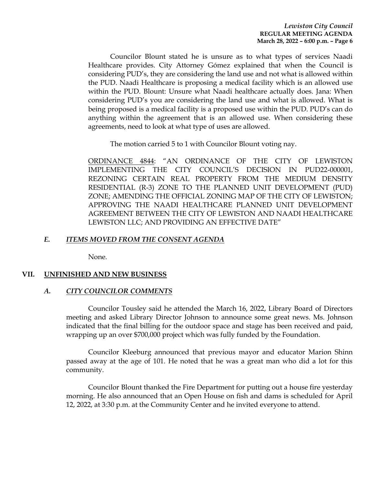Councilor Blount stated he is unsure as to what types of services Naadi Healthcare provides. City Attorney Gómez explained that when the Council is considering PUD's, they are considering the land use and not what is allowed within the PUD. Naadi Healthcare is proposing a medical facility which is an allowed use within the PUD. Blount: Unsure what Naadi healthcare actually does. Jana: When considering PUD's you are considering the land use and what is allowed. What is being proposed is a medical facility is a proposed use within the PUD. PUD's can do anything within the agreement that is an allowed use. When considering these agreements, need to look at what type of uses are allowed.

The motion carried 5 to 1 with Councilor Blount voting nay.

ORDINANCE 4844: "AN ORDINANCE OF THE CITY OF LEWISTON IMPLEMENTING THE CITY COUNCIL'S DECISION IN PUD22-000001, REZONING CERTAIN REAL PROPERTY FROM THE MEDIUM DENSITY RESIDENTIAL (R-3) ZONE TO THE PLANNED UNIT DEVELOPMENT (PUD) ZONE; AMENDING THE OFFICIAL ZONING MAP OF THE CITY OF LEWISTON; APPROVING THE NAADI HEALTHCARE PLANNED UNIT DEVELOPMENT AGREEMENT BETWEEN THE CITY OF LEWISTON AND NAADI HEALTHCARE LEWISTON LLC; AND PROVIDING AN EFFECTIVE DATE"

### *E. ITEMS MOVED FROM THE CONSENT AGENDA*

None.

#### **VII. UNFINISHED AND NEW BUSINESS**

#### *A. CITY COUNCILOR COMMENTS*

Councilor Tousley said he attended the March 16, 2022, Library Board of Directors meeting and asked Library Director Johnson to announce some great news. Ms. Johnson indicated that the final billing for the outdoor space and stage has been received and paid, wrapping up an over \$700,000 project which was fully funded by the Foundation.

Councilor Kleeburg announced that previous mayor and educator Marion Shinn passed away at the age of 101. He noted that he was a great man who did a lot for this community.

Councilor Blount thanked the Fire Department for putting out a house fire yesterday morning. He also announced that an Open House on fish and dams is scheduled for April 12, 2022, at 3:30 p.m. at the Community Center and he invited everyone to attend.